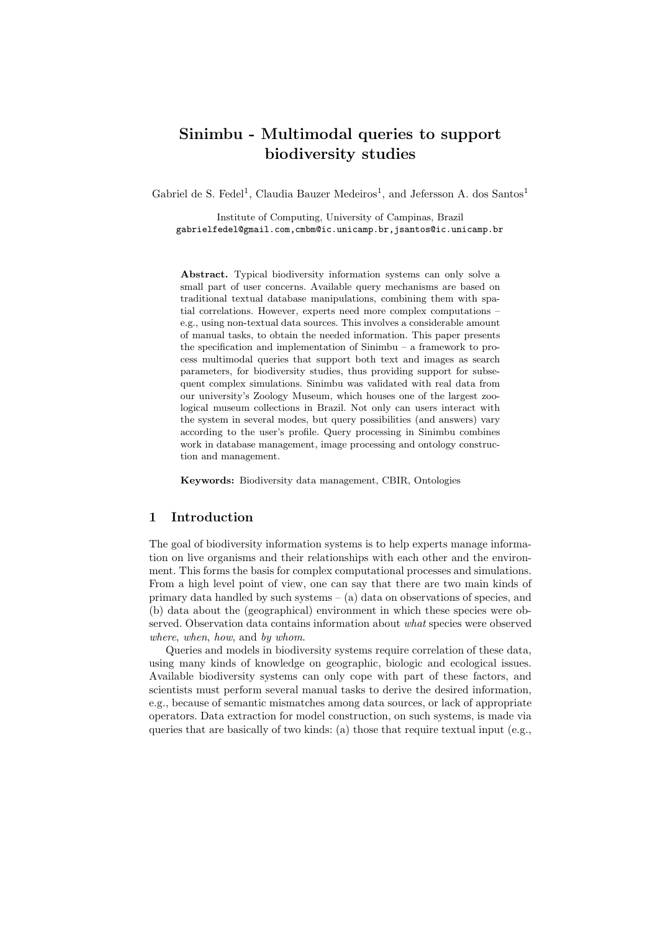# Sinimbu - Multimodal queries to support biodiversity studies

Gabriel de S. Fedel<sup>1</sup>, Claudia Bauzer Medeiros<sup>1</sup>, and Jefersson A. dos Santos<sup>1</sup>

Institute of Computing, University of Campinas, Brazil gabrielfedel@gmail.com,cmbm@ic.unicamp.br,jsantos@ic.unicamp.br

Abstract. Typical biodiversity information systems can only solve a small part of user concerns. Available query mechanisms are based on traditional textual database manipulations, combining them with spatial correlations. However, experts need more complex computations – e.g., using non-textual data sources. This involves a considerable amount of manual tasks, to obtain the needed information. This paper presents the specification and implementation of Sinimbu – a framework to process multimodal queries that support both text and images as search parameters, for biodiversity studies, thus providing support for subsequent complex simulations. Sinimbu was validated with real data from our university's Zoology Museum, which houses one of the largest zoological museum collections in Brazil. Not only can users interact with the system in several modes, but query possibilities (and answers) vary according to the user's profile. Query processing in Sinimbu combines work in database management, image processing and ontology construction and management.

Keywords: Biodiversity data management, CBIR, Ontologies

# 1 Introduction

The goal of biodiversity information systems is to help experts manage information on live organisms and their relationships with each other and the environment. This forms the basis for complex computational processes and simulations. From a high level point of view, one can say that there are two main kinds of primary data handled by such systems  $-$  (a) data on observations of species, and (b) data about the (geographical) environment in which these species were observed. Observation data contains information about what species were observed where, when, how, and by whom.

Queries and models in biodiversity systems require correlation of these data, using many kinds of knowledge on geographic, biologic and ecological issues. Available biodiversity systems can only cope with part of these factors, and scientists must perform several manual tasks to derive the desired information, e.g., because of semantic mismatches among data sources, or lack of appropriate operators. Data extraction for model construction, on such systems, is made via queries that are basically of two kinds: (a) those that require textual input (e.g.,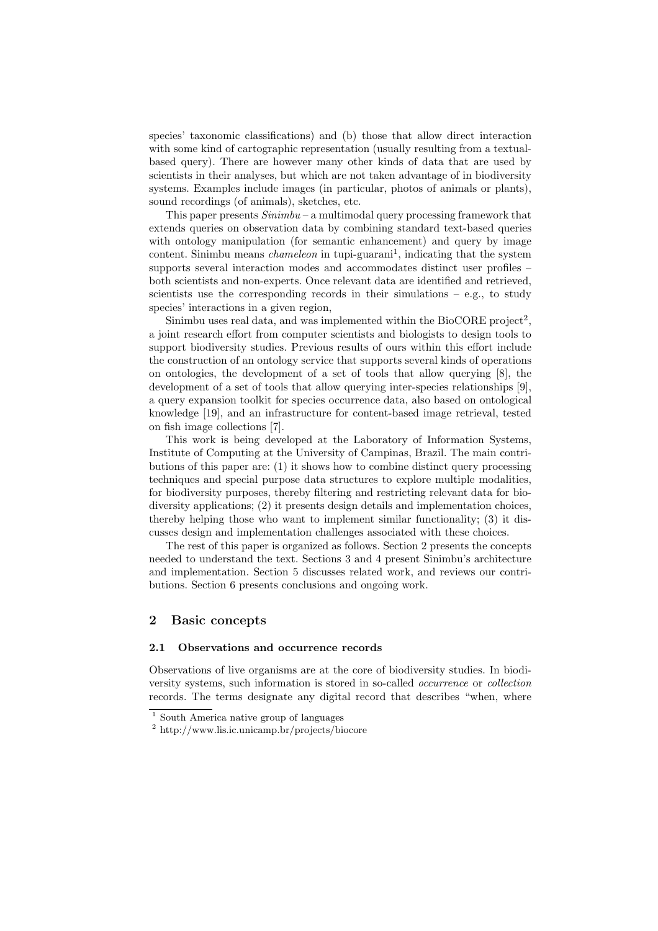species' taxonomic classifications) and (b) those that allow direct interaction with some kind of cartographic representation (usually resulting from a textualbased query). There are however many other kinds of data that are used by scientists in their analyses, but which are not taken advantage of in biodiversity systems. Examples include images (in particular, photos of animals or plants), sound recordings (of animals), sketches, etc.

This paper presents  $Similar-b}$  – a multimodal query processing framework that extends queries on observation data by combining standard text-based queries with ontology manipulation (for semantic enhancement) and query by image content. Sinimbu means *chameleon* in tupi-guarani<sup>1</sup>, indicating that the system supports several interaction modes and accommodates distinct user profiles – both scientists and non-experts. Once relevant data are identified and retrieved, scientists use the corresponding records in their simulations  $-$  e.g., to study species' interactions in a given region,

Sinimbu uses real data, and was implemented within the BioCORE project<sup>2</sup>, a joint research effort from computer scientists and biologists to design tools to support biodiversity studies. Previous results of ours within this effort include the construction of an ontology service that supports several kinds of operations on ontologies, the development of a set of tools that allow querying [8], the development of a set of tools that allow querying inter-species relationships [9], a query expansion toolkit for species occurrence data, also based on ontological knowledge [19], and an infrastructure for content-based image retrieval, tested on fish image collections [7].

This work is being developed at the Laboratory of Information Systems, Institute of Computing at the University of Campinas, Brazil. The main contributions of this paper are: (1) it shows how to combine distinct query processing techniques and special purpose data structures to explore multiple modalities, for biodiversity purposes, thereby filtering and restricting relevant data for biodiversity applications; (2) it presents design details and implementation choices, thereby helping those who want to implement similar functionality; (3) it discusses design and implementation challenges associated with these choices.

The rest of this paper is organized as follows. Section 2 presents the concepts needed to understand the text. Sections 3 and 4 present Sinimbu's architecture and implementation. Section 5 discusses related work, and reviews our contributions. Section 6 presents conclusions and ongoing work.

# 2 Basic concepts

## 2.1 Observations and occurrence records

Observations of live organisms are at the core of biodiversity studies. In biodiversity systems, such information is stored in so-called occurrence or collection records. The terms designate any digital record that describes "when, where

<sup>1</sup> South America native group of languages

<sup>2</sup> http://www.lis.ic.unicamp.br/projects/biocore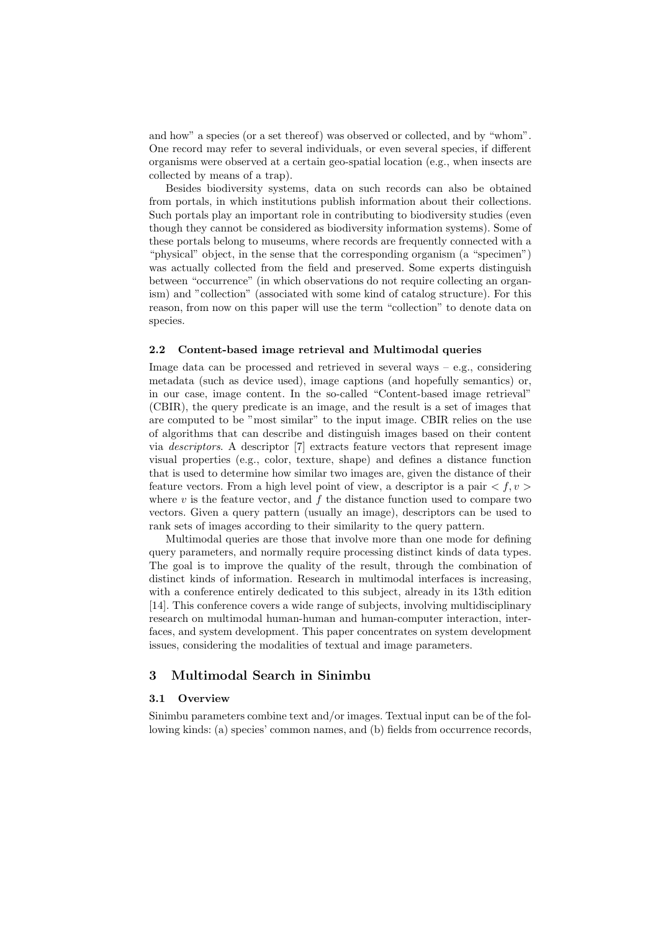and how" a species (or a set thereof) was observed or collected, and by "whom". One record may refer to several individuals, or even several species, if different organisms were observed at a certain geo-spatial location (e.g., when insects are collected by means of a trap).

Besides biodiversity systems, data on such records can also be obtained from portals, in which institutions publish information about their collections. Such portals play an important role in contributing to biodiversity studies (even though they cannot be considered as biodiversity information systems). Some of these portals belong to museums, where records are frequently connected with a "physical" object, in the sense that the corresponding organism (a "specimen") was actually collected from the field and preserved. Some experts distinguish between "occurrence" (in which observations do not require collecting an organism) and "collection" (associated with some kind of catalog structure). For this reason, from now on this paper will use the term "collection" to denote data on species.

#### 2.2 Content-based image retrieval and Multimodal queries

Image data can be processed and retrieved in several ways – e.g., considering metadata (such as device used), image captions (and hopefully semantics) or, in our case, image content. In the so-called "Content-based image retrieval" (CBIR), the query predicate is an image, and the result is a set of images that are computed to be "most similar" to the input image. CBIR relies on the use of algorithms that can describe and distinguish images based on their content via descriptors. A descriptor [7] extracts feature vectors that represent image visual properties (e.g., color, texture, shape) and defines a distance function that is used to determine how similar two images are, given the distance of their feature vectors. From a high level point of view, a descriptor is a pair  $\langle f, v \rangle$ where  $v$  is the feature vector, and  $f$  the distance function used to compare two vectors. Given a query pattern (usually an image), descriptors can be used to rank sets of images according to their similarity to the query pattern.

Multimodal queries are those that involve more than one mode for defining query parameters, and normally require processing distinct kinds of data types. The goal is to improve the quality of the result, through the combination of distinct kinds of information. Research in multimodal interfaces is increasing, with a conference entirely dedicated to this subject, already in its 13th edition [14]. This conference covers a wide range of subjects, involving multidisciplinary research on multimodal human-human and human-computer interaction, interfaces, and system development. This paper concentrates on system development issues, considering the modalities of textual and image parameters.

# 3 Multimodal Search in Sinimbu

## 3.1 Overview

Sinimbu parameters combine text and/or images. Textual input can be of the following kinds: (a) species' common names, and (b) fields from occurrence records,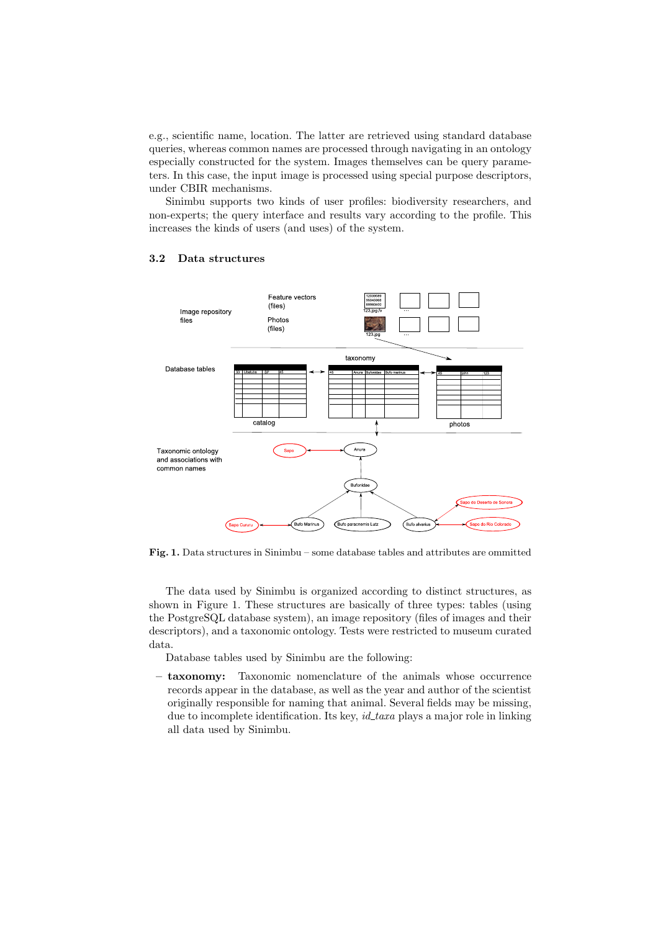e.g., scientific name, location. The latter are retrieved using standard database queries, whereas common names are processed through navigating in an ontology especially constructed for the system. Images themselves can be query parameters. In this case, the input image is processed using special purpose descriptors, under CBIR mechanisms.

Sinimbu supports two kinds of user profiles: biodiversity researchers, and non-experts; the query interface and results vary according to the profile. This increases the kinds of users (and uses) of the system.



#### 3.2 Data structures

Fig. 1. Data structures in Sinimbu – some database tables and attributes are ommitted

The data used by Sinimbu is organized according to distinct structures, as shown in Figure 1. These structures are basically of three types: tables (using the PostgreSQL database system), an image repository (files of images and their descriptors), and a taxonomic ontology. Tests were restricted to museum curated data.

Database tables used by Sinimbu are the following:

– taxonomy: Taxonomic nomenclature of the animals whose occurrence records appear in the database, as well as the year and author of the scientist originally responsible for naming that animal. Several fields may be missing, due to incomplete identification. Its key,  $id\_{text{taxa}$  plays a major role in linking all data used by Sinimbu.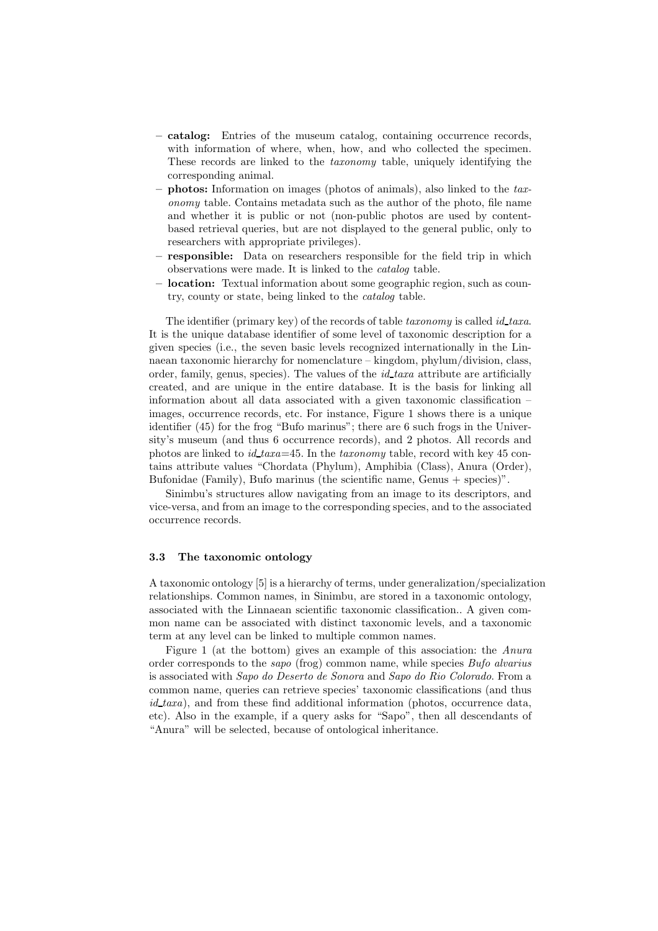- catalog: Entries of the museum catalog, containing occurrence records, with information of where, when, how, and who collected the specimen. These records are linked to the taxonomy table, uniquely identifying the corresponding animal.
- photos: Information on images (photos of animals), also linked to the taxonomy table. Contains metadata such as the author of the photo, file name and whether it is public or not (non-public photos are used by contentbased retrieval queries, but are not displayed to the general public, only to researchers with appropriate privileges).
- responsible: Data on researchers responsible for the field trip in which observations were made. It is linked to the catalog table.
- location: Textual information about some geographic region, such as country, county or state, being linked to the catalog table.

The identifier (primary key) of the records of table taxonomy is called id taxa. It is the unique database identifier of some level of taxonomic description for a given species (i.e., the seven basic levels recognized internationally in the Linnaean taxonomic hierarchy for nomenclature – kingdom, phylum/division, class, order, family, genus, species). The values of the  $id\_taxa$  attribute are artificially created, and are unique in the entire database. It is the basis for linking all information about all data associated with a given taxonomic classification – images, occurrence records, etc. For instance, Figure 1 shows there is a unique identifier (45) for the frog "Bufo marinus"; there are 6 such frogs in the University's museum (and thus 6 occurrence records), and 2 photos. All records and photos are linked to  $id\_taxa=45$ . In the  $taxonomy$  table, record with key 45 contains attribute values "Chordata (Phylum), Amphibia (Class), Anura (Order), Bufonidae (Family), Bufo marinus (the scientific name, Genus + species)".

Sinimbu's structures allow navigating from an image to its descriptors, and vice-versa, and from an image to the corresponding species, and to the associated occurrence records.

#### 3.3 The taxonomic ontology

A taxonomic ontology [5] is a hierarchy of terms, under generalization/specialization relationships. Common names, in Sinimbu, are stored in a taxonomic ontology, associated with the Linnaean scientific taxonomic classification.. A given common name can be associated with distinct taxonomic levels, and a taxonomic term at any level can be linked to multiple common names.

Figure 1 (at the bottom) gives an example of this association: the Anura order corresponds to the *sapo* (frog) common name, while species  $Bufo$  alvarius is associated with Sapo do Deserto de Sonora and Sapo do Rio Colorado. From a common name, queries can retrieve species' taxonomic classifications (and thus  $id\_taxa$ ), and from these find additional information (photos, occurrence data, etc). Also in the example, if a query asks for "Sapo", then all descendants of "Anura" will be selected, because of ontological inheritance.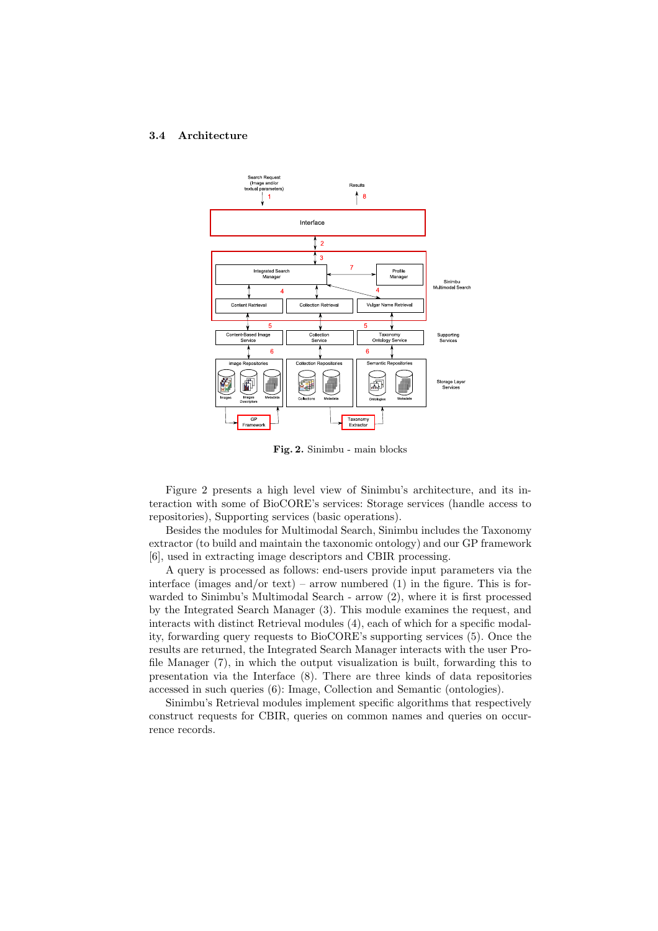### 3.4 Architecture



Fig. 2. Sinimbu - main blocks

Figure 2 presents a high level view of Sinimbu's architecture, and its interaction with some of BioCORE's services: Storage services (handle access to repositories), Supporting services (basic operations).

Besides the modules for Multimodal Search, Sinimbu includes the Taxonomy extractor (to build and maintain the taxonomic ontology) and our GP framework [6], used in extracting image descriptors and CBIR processing.

A query is processed as follows: end-users provide input parameters via the interface (images and/or text) – arrow numbered  $(1)$  in the figure. This is forwarded to Sinimbu's Multimodal Search - arrow (2), where it is first processed by the Integrated Search Manager (3). This module examines the request, and interacts with distinct Retrieval modules (4), each of which for a specific modality, forwarding query requests to BioCORE's supporting services (5). Once the results are returned, the Integrated Search Manager interacts with the user Profile Manager (7), in which the output visualization is built, forwarding this to presentation via the Interface (8). There are three kinds of data repositories accessed in such queries (6): Image, Collection and Semantic (ontologies).

Sinimbu's Retrieval modules implement specific algorithms that respectively construct requests for CBIR, queries on common names and queries on occurrence records.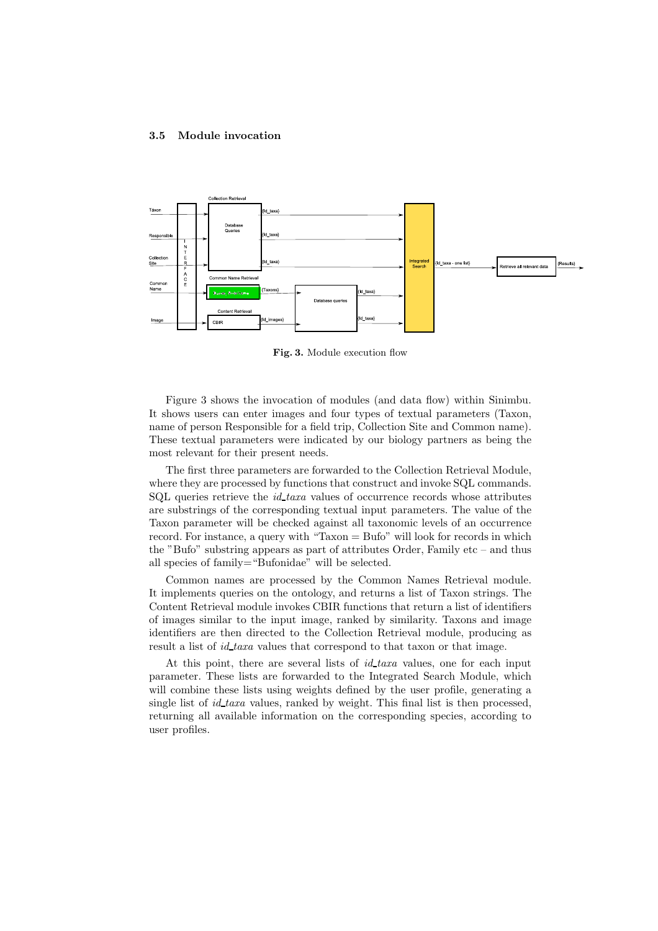#### 3.5 Module invocation



Fig. 3. Module execution flow

Figure 3 shows the invocation of modules (and data flow) within Sinimbu. It shows users can enter images and four types of textual parameters (Taxon, name of person Responsible for a field trip, Collection Site and Common name). These textual parameters were indicated by our biology partners as being the most relevant for their present needs.

The first three parameters are forwarded to the Collection Retrieval Module, where they are processed by functions that construct and invoke SQL commands. SQL queries retrieve the *id taxa* values of occurrence records whose attributes are substrings of the corresponding textual input parameters. The value of the Taxon parameter will be checked against all taxonomic levels of an occurrence record. For instance, a query with "Taxon = Bufo" will look for records in which the "Bufo" substring appears as part of attributes Order, Family etc – and thus all species of family="Bufonidae" will be selected.

Common names are processed by the Common Names Retrieval module. It implements queries on the ontology, and returns a list of Taxon strings. The Content Retrieval module invokes CBIR functions that return a list of identifiers of images similar to the input image, ranked by similarity. Taxons and image identifiers are then directed to the Collection Retrieval module, producing as result a list of *id taxa* values that correspond to that taxon or that image.

At this point, there are several lists of  $id\_taxa$  values, one for each input parameter. These lists are forwarded to the Integrated Search Module, which will combine these lists using weights defined by the user profile, generating a single list of  $id\_taxa$  values, ranked by weight. This final list is then processed, returning all available information on the corresponding species, according to user profiles.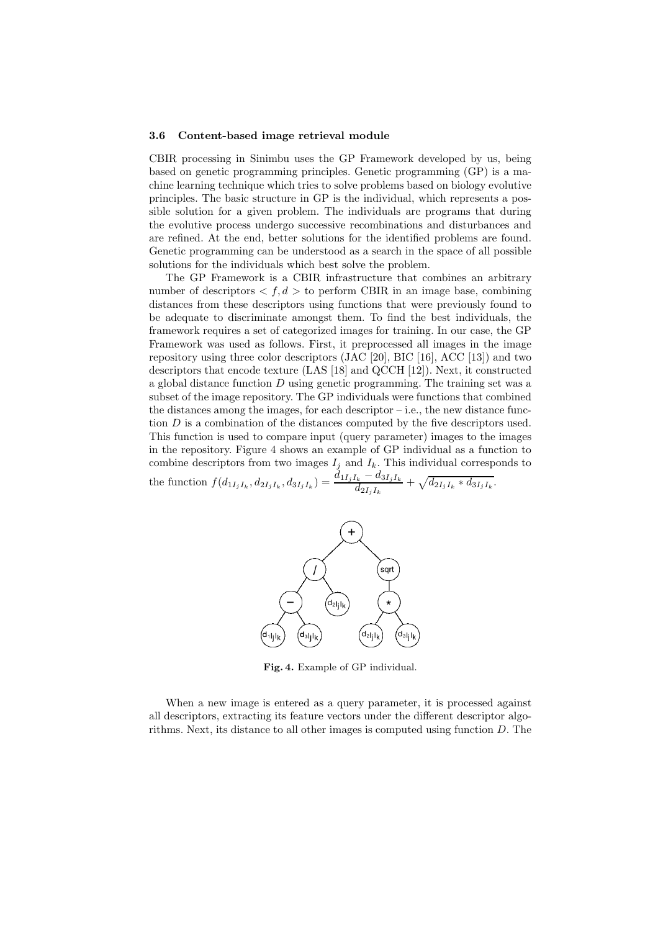#### 3.6 Content-based image retrieval module

CBIR processing in Sinimbu uses the GP Framework developed by us, being based on genetic programming principles. Genetic programming (GP) is a machine learning technique which tries to solve problems based on biology evolutive principles. The basic structure in GP is the individual, which represents a possible solution for a given problem. The individuals are programs that during the evolutive process undergo successive recombinations and disturbances and are refined. At the end, better solutions for the identified problems are found. Genetic programming can be understood as a search in the space of all possible solutions for the individuals which best solve the problem.

The GP Framework is a CBIR infrastructure that combines an arbitrary number of descriptors  $\langle f, d \rangle$  to perform CBIR in an image base, combining distances from these descriptors using functions that were previously found to be adequate to discriminate amongst them. To find the best individuals, the framework requires a set of categorized images for training. In our case, the GP Framework was used as follows. First, it preprocessed all images in the image repository using three color descriptors (JAC [20], BIC [16], ACC [13]) and two descriptors that encode texture (LAS [18] and QCCH [12]). Next, it constructed a global distance function  $D$  using genetic programming. The training set was a subset of the image repository. The GP individuals were functions that combined the distances among the images, for each descriptor  $-i.e.,$  the new distance function  $D$  is a combination of the distances computed by the five descriptors used. This function is used to compare input (query parameter) images to the images in the repository. Figure 4 shows an example of GP individual as a function to combine descriptors from two images  $I_j$  and  $I_k$ . This individual corresponds to the function  $f(d_{1I_jI_k}, d_{2I_jI_k}, d_{3I_jI_k}) = \frac{\overset{\circ}{d}_{1I_jI_k} - \overset{\circ}{d}_{3I_jI_k}}{\overset{\circ}{d}_{2I_jI_k}} + \sqrt{\overset{\circ}{d}_{2I_jI_k} * d_{3I_jI_k}}.$ 



Fig. 4. Example of GP individual.

When a new image is entered as a query parameter, it is processed against all descriptors, extracting its feature vectors under the different descriptor algorithms. Next, its distance to all other images is computed using function D. The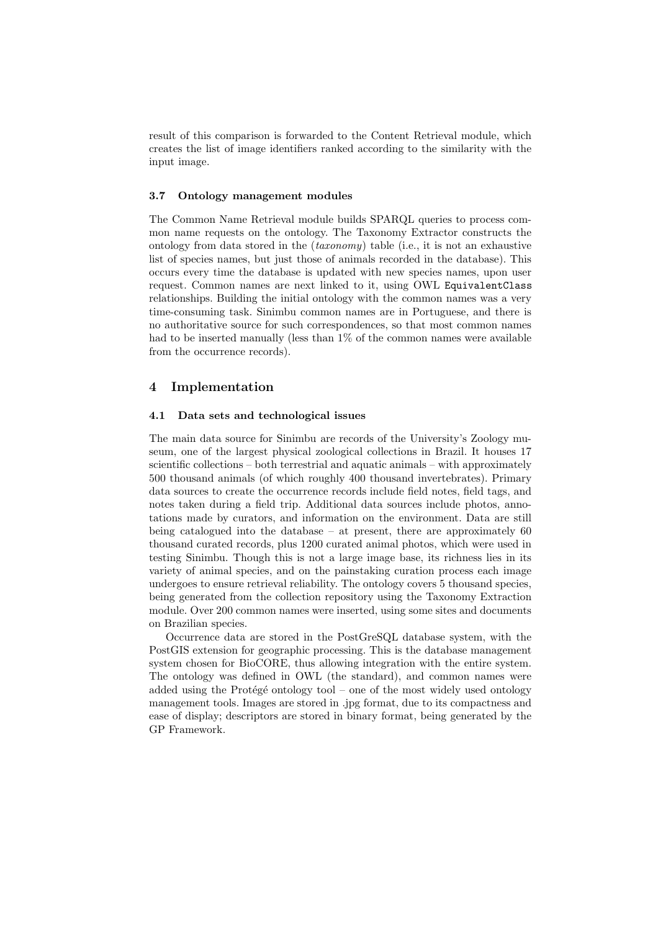result of this comparison is forwarded to the Content Retrieval module, which creates the list of image identifiers ranked according to the similarity with the input image.

## 3.7 Ontology management modules

The Common Name Retrieval module builds SPARQL queries to process common name requests on the ontology. The Taxonomy Extractor constructs the ontology from data stored in the (taxonomy) table (i.e., it is not an exhaustive list of species names, but just those of animals recorded in the database). This occurs every time the database is updated with new species names, upon user request. Common names are next linked to it, using OWL EquivalentClass relationships. Building the initial ontology with the common names was a very time-consuming task. Sinimbu common names are in Portuguese, and there is no authoritative source for such correspondences, so that most common names had to be inserted manually (less than  $1\%$  of the common names were available from the occurrence records).

# 4 Implementation

## 4.1 Data sets and technological issues

The main data source for Sinimbu are records of the University's Zoology museum, one of the largest physical zoological collections in Brazil. It houses 17 scientific collections – both terrestrial and aquatic animals – with approximately 500 thousand animals (of which roughly 400 thousand invertebrates). Primary data sources to create the occurrence records include field notes, field tags, and notes taken during a field trip. Additional data sources include photos, annotations made by curators, and information on the environment. Data are still being catalogued into the database – at present, there are approximately 60 thousand curated records, plus 1200 curated animal photos, which were used in testing Sinimbu. Though this is not a large image base, its richness lies in its variety of animal species, and on the painstaking curation process each image undergoes to ensure retrieval reliability. The ontology covers 5 thousand species, being generated from the collection repository using the Taxonomy Extraction module. Over 200 common names were inserted, using some sites and documents on Brazilian species.

Occurrence data are stored in the PostGreSQL database system, with the PostGIS extension for geographic processing. This is the database management system chosen for BioCORE, thus allowing integration with the entire system. The ontology was defined in OWL (the standard), and common names were added using the Protégé ontology tool – one of the most widely used ontology management tools. Images are stored in .jpg format, due to its compactness and ease of display; descriptors are stored in binary format, being generated by the GP Framework.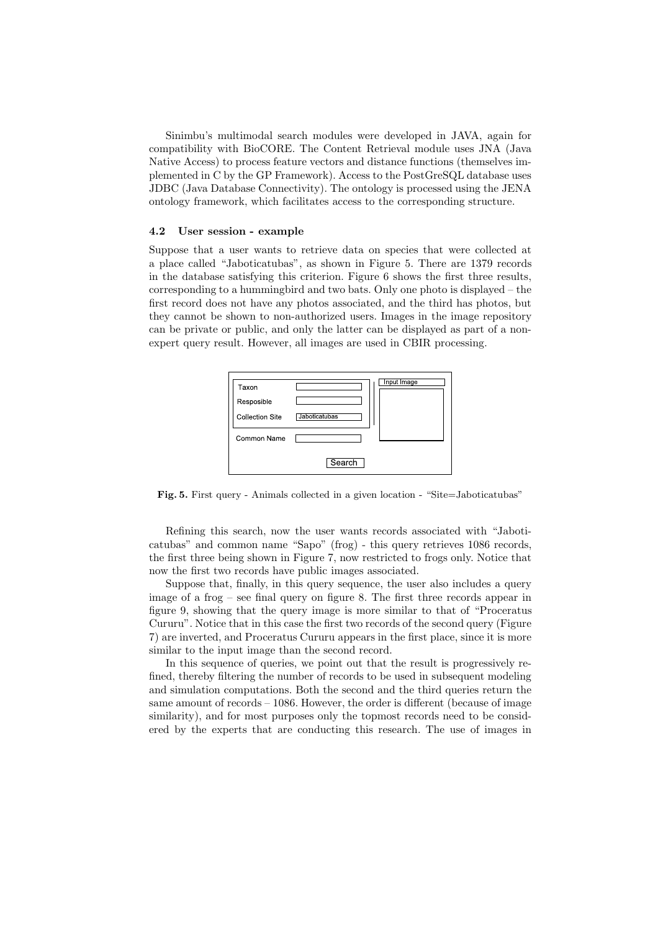Sinimbu's multimodal search modules were developed in JAVA, again for compatibility with BioCORE. The Content Retrieval module uses JNA (Java Native Access) to process feature vectors and distance functions (themselves implemented in C by the GP Framework). Access to the PostGreSQL database uses JDBC (Java Database Connectivity). The ontology is processed using the JENA ontology framework, which facilitates access to the corresponding structure.

#### 4.2 User session - example

Suppose that a user wants to retrieve data on species that were collected at a place called "Jaboticatubas", as shown in Figure 5. There are 1379 records in the database satisfying this criterion. Figure 6 shows the first three results, corresponding to a hummingbird and two bats. Only one photo is displayed – the first record does not have any photos associated, and the third has photos, but they cannot be shown to non-authorized users. Images in the image repository can be private or public, and only the latter can be displayed as part of a nonexpert query result. However, all images are used in CBIR processing.



Fig. 5. First query - Animals collected in a given location - "Site=Jaboticatubas"

Refining this search, now the user wants records associated with "Jaboticatubas" and common name "Sapo" (frog) - this query retrieves 1086 records, the first three being shown in Figure 7, now restricted to frogs only. Notice that now the first two records have public images associated.

Suppose that, finally, in this query sequence, the user also includes a query image of a frog – see final query on figure 8. The first three records appear in figure 9, showing that the query image is more similar to that of "Proceratus Cururu". Notice that in this case the first two records of the second query (Figure 7) are inverted, and Proceratus Cururu appears in the first place, since it is more similar to the input image than the second record.

In this sequence of queries, we point out that the result is progressively refined, thereby filtering the number of records to be used in subsequent modeling and simulation computations. Both the second and the third queries return the same amount of records – 1086. However, the order is different (because of image similarity), and for most purposes only the topmost records need to be considered by the experts that are conducting this research. The use of images in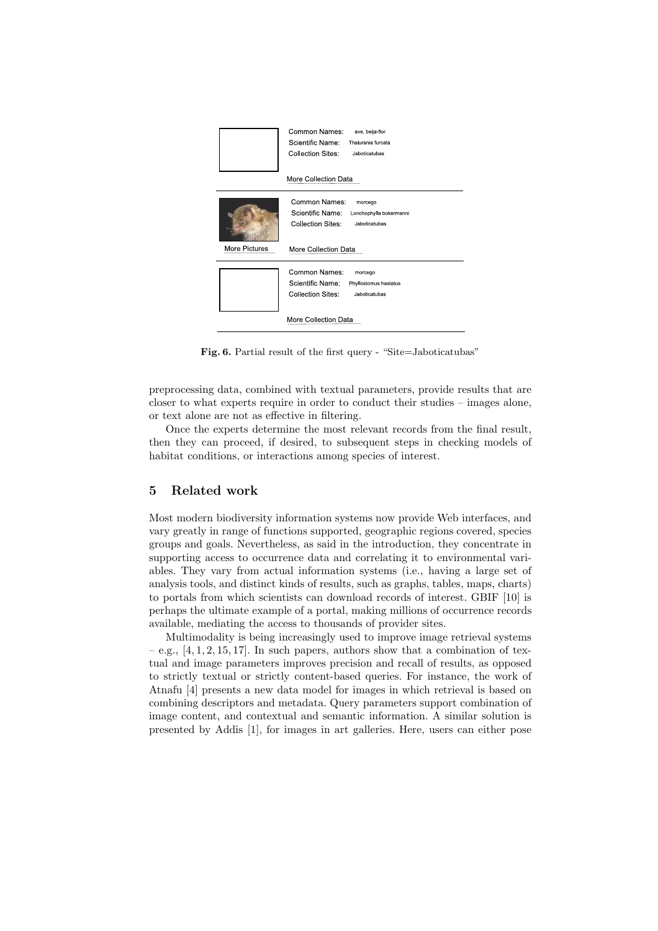

Fig. 6. Partial result of the first query - "Site=Jaboticatubas"

preprocessing data, combined with textual parameters, provide results that are closer to what experts require in order to conduct their studies – images alone, or text alone are not as effective in filtering.

Once the experts determine the most relevant records from the final result, then they can proceed, if desired, to subsequent steps in checking models of habitat conditions, or interactions among species of interest.

# 5 Related work

Most modern biodiversity information systems now provide Web interfaces, and vary greatly in range of functions supported, geographic regions covered, species groups and goals. Nevertheless, as said in the introduction, they concentrate in supporting access to occurrence data and correlating it to environmental variables. They vary from actual information systems (i.e., having a large set of analysis tools, and distinct kinds of results, such as graphs, tables, maps, charts) to portals from which scientists can download records of interest. GBIF [10] is perhaps the ultimate example of a portal, making millions of occurrence records available, mediating the access to thousands of provider sites.

Multimodality is being increasingly used to improve image retrieval systems – e.g.,  $[4, 1, 2, 15, 17]$ . In such papers, authors show that a combination of textual and image parameters improves precision and recall of results, as opposed to strictly textual or strictly content-based queries. For instance, the work of Atnafu [4] presents a new data model for images in which retrieval is based on combining descriptors and metadata. Query parameters support combination of image content, and contextual and semantic information. A similar solution is presented by Addis [1], for images in art galleries. Here, users can either pose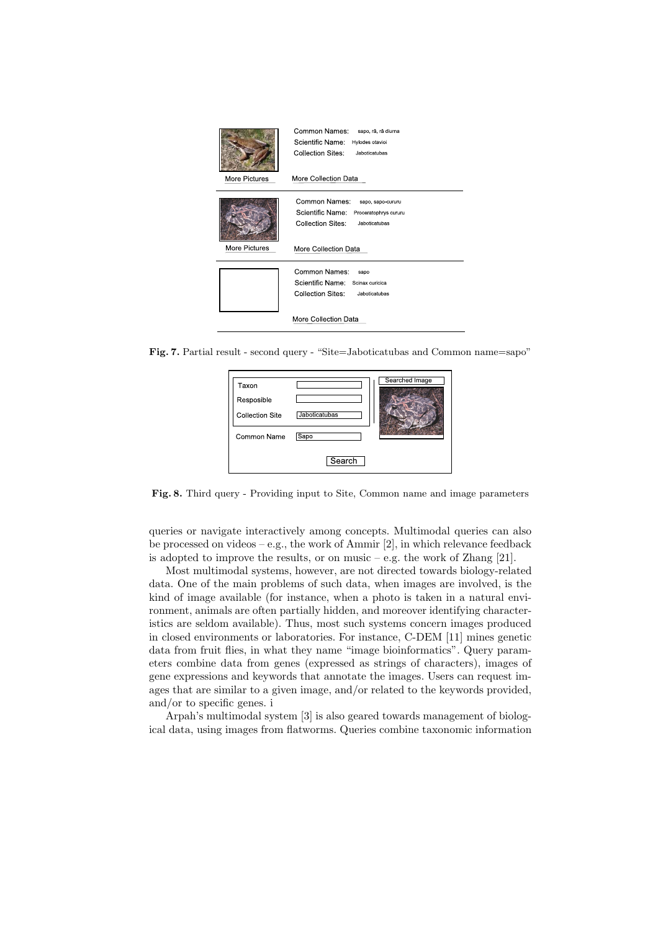

Fig. 7. Partial result - second query - "Site=Jaboticatubas and Common name=sapo"

| Taxon<br>Resposible    |               | Searched Image |
|------------------------|---------------|----------------|
| <b>Collection Site</b> | Jaboticatubas |                |
| Common Name            | Sapo          |                |
|                        | Search        |                |

Fig. 8. Third query - Providing input to Site, Common name and image parameters

queries or navigate interactively among concepts. Multimodal queries can also be processed on videos – e.g., the work of Ammir [2], in which relevance feedback is adopted to improve the results, or on music – e.g. the work of Zhang  $[21]$ .

Most multimodal systems, however, are not directed towards biology-related data. One of the main problems of such data, when images are involved, is the kind of image available (for instance, when a photo is taken in a natural environment, animals are often partially hidden, and moreover identifying characteristics are seldom available). Thus, most such systems concern images produced in closed environments or laboratories. For instance, C-DEM [11] mines genetic data from fruit flies, in what they name "image bioinformatics". Query parameters combine data from genes (expressed as strings of characters), images of gene expressions and keywords that annotate the images. Users can request images that are similar to a given image, and/or related to the keywords provided, and/or to specific genes. i

Arpah's multimodal system [3] is also geared towards management of biological data, using images from flatworms. Queries combine taxonomic information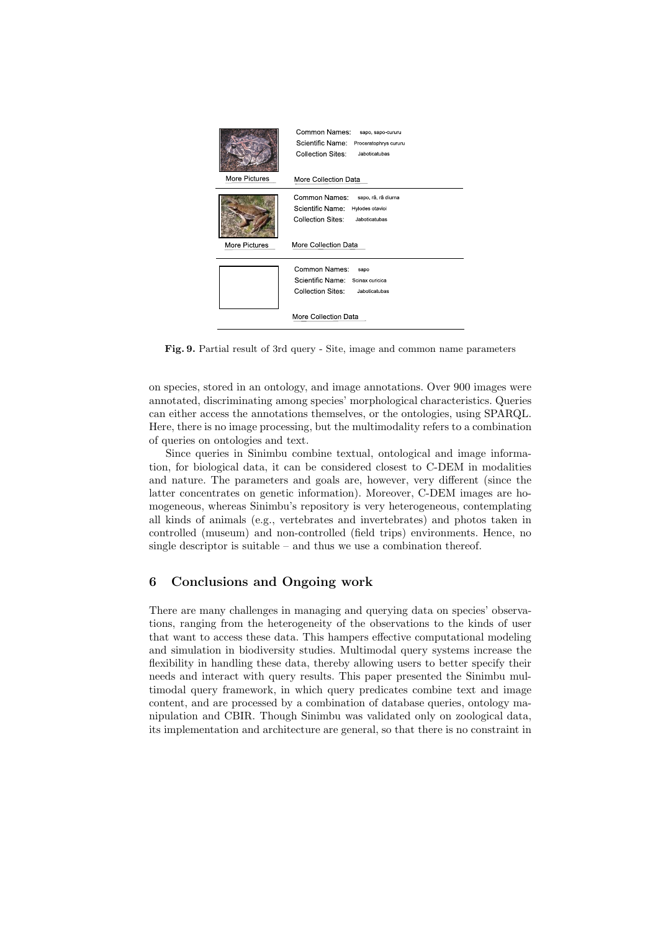

Fig. 9. Partial result of 3rd query - Site, image and common name parameters

on species, stored in an ontology, and image annotations. Over 900 images were annotated, discriminating among species' morphological characteristics. Queries can either access the annotations themselves, or the ontologies, using SPARQL. Here, there is no image processing, but the multimodality refers to a combination of queries on ontologies and text.

Since queries in Sinimbu combine textual, ontological and image information, for biological data, it can be considered closest to C-DEM in modalities and nature. The parameters and goals are, however, very different (since the latter concentrates on genetic information). Moreover, C-DEM images are homogeneous, whereas Sinimbu's repository is very heterogeneous, contemplating all kinds of animals (e.g., vertebrates and invertebrates) and photos taken in controlled (museum) and non-controlled (field trips) environments. Hence, no single descriptor is suitable – and thus we use a combination thereof.

# 6 Conclusions and Ongoing work

There are many challenges in managing and querying data on species' observations, ranging from the heterogeneity of the observations to the kinds of user that want to access these data. This hampers effective computational modeling and simulation in biodiversity studies. Multimodal query systems increase the flexibility in handling these data, thereby allowing users to better specify their needs and interact with query results. This paper presented the Sinimbu multimodal query framework, in which query predicates combine text and image content, and are processed by a combination of database queries, ontology manipulation and CBIR. Though Sinimbu was validated only on zoological data, its implementation and architecture are general, so that there is no constraint in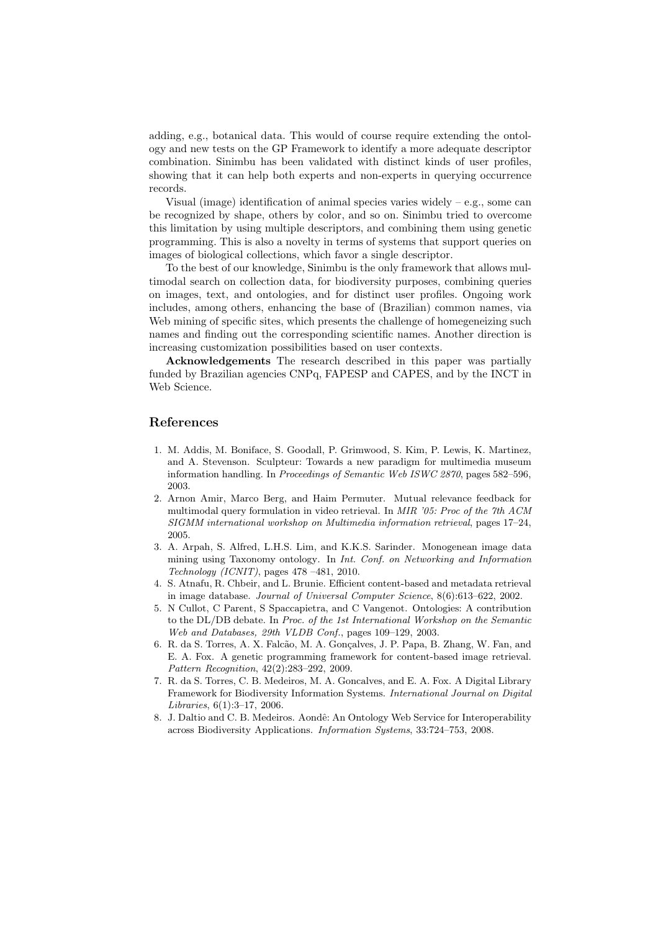adding, e.g., botanical data. This would of course require extending the ontology and new tests on the GP Framework to identify a more adequate descriptor combination. Sinimbu has been validated with distinct kinds of user profiles, showing that it can help both experts and non-experts in querying occurrence records.

Visual (image) identification of animal species varies widely  $-e.g.,$  some can be recognized by shape, others by color, and so on. Sinimbu tried to overcome this limitation by using multiple descriptors, and combining them using genetic programming. This is also a novelty in terms of systems that support queries on images of biological collections, which favor a single descriptor.

To the best of our knowledge, Sinimbu is the only framework that allows multimodal search on collection data, for biodiversity purposes, combining queries on images, text, and ontologies, and for distinct user profiles. Ongoing work includes, among others, enhancing the base of (Brazilian) common names, via Web mining of specific sites, which presents the challenge of homegeneizing such names and finding out the corresponding scientific names. Another direction is increasing customization possibilities based on user contexts.

Acknowledgements The research described in this paper was partially funded by Brazilian agencies CNPq, FAPESP and CAPES, and by the INCT in Web Science.

# References

- 1. M. Addis, M. Boniface, S. Goodall, P. Grimwood, S. Kim, P. Lewis, K. Martinez, and A. Stevenson. Sculpteur: Towards a new paradigm for multimedia museum information handling. In *Proceedings of Semantic Web ISWC 2870*, pages 582–596, 2003.
- 2. Arnon Amir, Marco Berg, and Haim Permuter. Mutual relevance feedback for multimodal query formulation in video retrieval. In *MIR '05: Proc of the 7th ACM SIGMM international workshop on Multimedia information retrieval*, pages 17–24, 2005.
- 3. A. Arpah, S. Alfred, L.H.S. Lim, and K.K.S. Sarinder. Monogenean image data mining using Taxonomy ontology. In *Int. Conf. on Networking and Information Technology (ICNIT)*, pages 478 –481, 2010.
- 4. S. Atnafu, R. Chbeir, and L. Brunie. Efficient content-based and metadata retrieval in image database. *Journal of Universal Computer Science*, 8(6):613–622, 2002.
- 5. N Cullot, C Parent, S Spaccapietra, and C Vangenot. Ontologies: A contribution to the DL/DB debate. In *Proc. of the 1st International Workshop on the Semantic Web and Databases, 29th VLDB Conf.*, pages 109–129, 2003.
- 6. R. da S. Torres, A. X. Falcão, M. A. Gonçalves, J. P. Papa, B. Zhang, W. Fan, and E. A. Fox. A genetic programming framework for content-based image retrieval. *Pattern Recognition*, 42(2):283–292, 2009.
- 7. R. da S. Torres, C. B. Medeiros, M. A. Goncalves, and E. A. Fox. A Digital Library Framework for Biodiversity Information Systems. *International Journal on Digital Libraries*, 6(1):3–17, 2006.
- 8. J. Daltio and C. B. Medeiros. Aondê: An Ontology Web Service for Interoperability across Biodiversity Applications. *Information Systems*, 33:724–753, 2008.